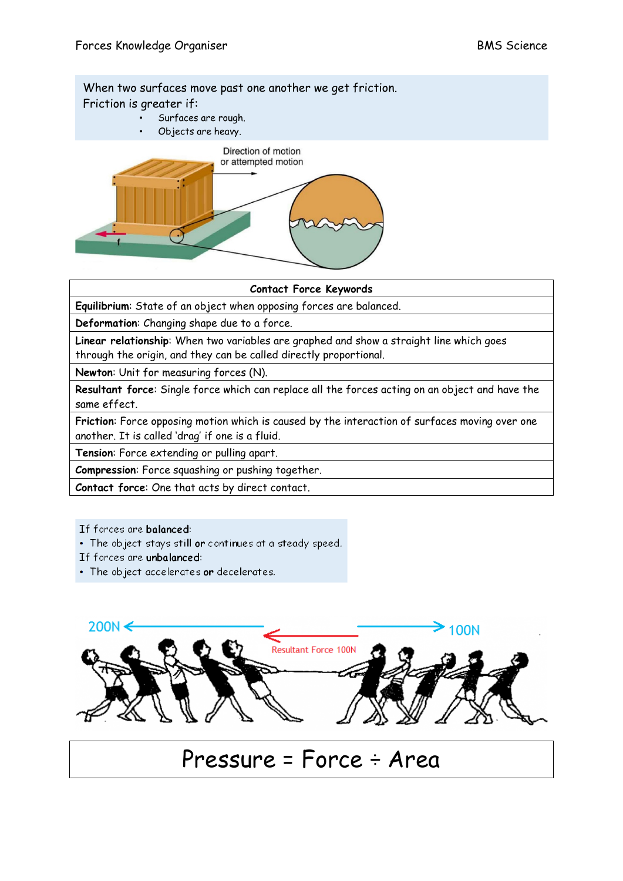When two surfaces move past one another we get friction. Friction is greater if:

- Surfaces are rough.
- Objects are heavy.



## **Contact Force Keywords**

**Equilibrium**: State of an object when opposing forces are balanced.

**Deformation**: Changing shape due to a force.

**Linear relationship**: When two variables are graphed and show a straight line which goes through the origin, and they can be called directly proportional.

**Newton**: Unit for measuring forces (N).

**Resultant force**: Single force which can replace all the forces acting on an object and have the same effect.

**Friction**: Force opposing motion which is caused by the interaction of surfaces moving over one another. It is called 'drag' if one is a fluid.

**Tension**: Force extending or pulling apart.

**Compression**: Force squashing or pushing together.

**Contact force**: One that acts by direct contact.

## If forces are balanced:

- The object stays still or continues at a steady speed.
- If forces are unbalanced:
- The object accelerates or decelerates.



## Pressure = Force ÷ Area